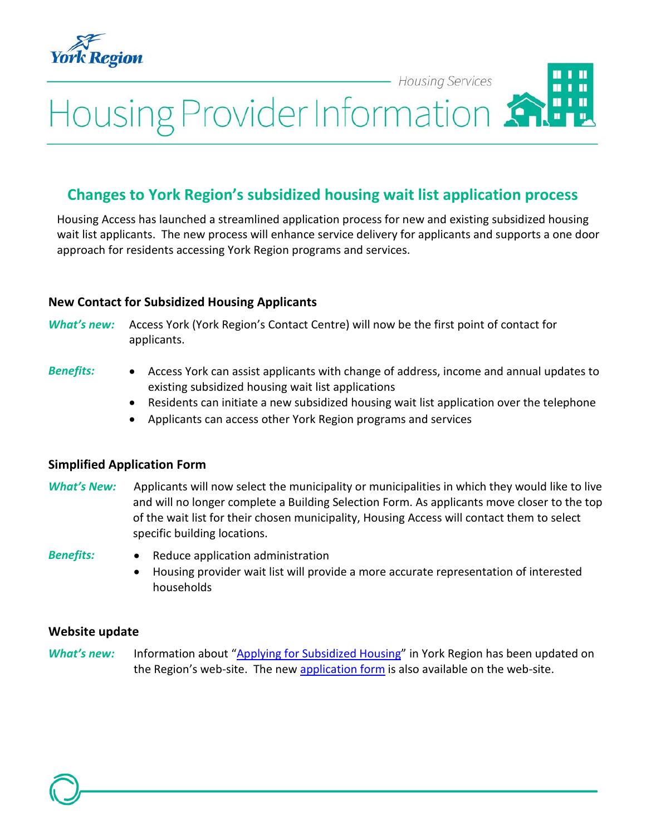

- Housing Services

# Housing Provider Information

## **Changes to York Region's subsidized housing wait list application process**

Housing Access has launched a streamlined application process for new and existing subsidized housing wait list applicants. The new process will enhance service delivery for applicants and supports a one door approach for residents accessing York Region programs and services.

#### **New Contact for Subsidized Housing Applicants**

*What's new:* Access York (York Region's Contact Centre) will now be the first point of contact for applicants.

- *Benefits:* Access York can assist applicants with change of address, income and annual updates to existing subsidized housing wait list applications
	- Residents can initiate a new subsidized housing wait list application over the telephone
	- Applicants can access other York Region programs and services

#### **Simplified Application Form**

- *What's New:* Applicants will now select the municipality or municipalities in which they would like to live and will no longer complete a Building Selection Form. As applicants move closer to the top of the wait list for their chosen municipality, Housing Access will contact them to select specific building locations.
- 
- *Benefits:* Reduce application administration
	- Housing provider wait list will provide a more accurate representation of interested households

#### **Website update**

*What's new:* Information about ["Applying for Subsidized Housing"](http://www.york.ca/wps/portal/yorkhome/support/yr/housing/applyingforsubsidizedhousing/) in York Region has been updated on the Region's web-site. The new [application form](http://www.york.ca/wps/wcm/connect/yorkpublic/a767bbe6-38ba-4e05-b077-363709802a4d/Subsidized+Housing+Application.pdf?MOD=AJPERES) is also available on the web-site.